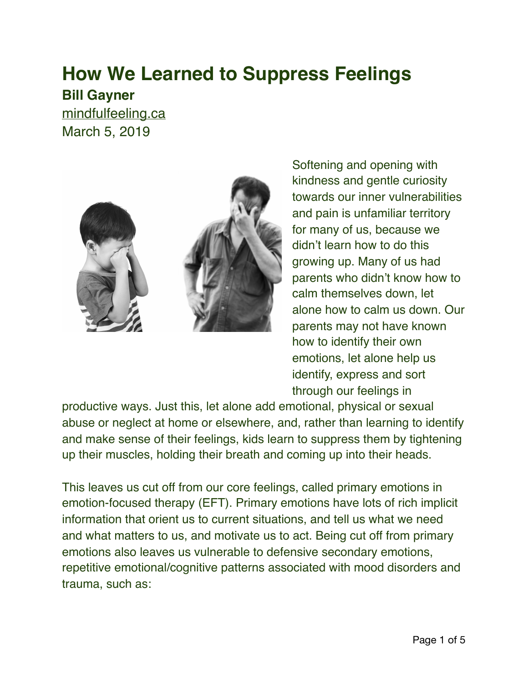## **How We Learned to Suppress Feelings**

**Bill Gayner**

[mindfulfeeling.ca](https://mindfulfeeling.ca/how-we-learned-to-suppress-feelings/) March 5, 2019



Softening and opening with kindness and gentle curiosity towards our inner vulnerabilities and pain is unfamiliar territory for many of us, because we didn't learn how to do this growing up. Many of us had parents who didn't know how to calm themselves down, let alone how to calm us down. Our parents may not have known how to identify their own emotions, let alone help us identify, express and sort through our feelings in

productive ways. Just this, let alone add emotional, physical or sexual abuse or neglect at home or elsewhere, and, rather than learning to identify and make sense of their feelings, kids learn to suppress them by tightening up their muscles, holding their breath and coming up into their heads.

This leaves us cut off from our core feelings, called primary emotions in emotion-focused therapy (EFT). Primary emotions have lots of rich implicit information that orient us to current situations, and tell us what we need and what matters to us, and motivate us to act. Being cut off from primary emotions also leaves us vulnerable to defensive secondary emotions, repetitive emotional/cognitive patterns associated with mood disorders and trauma, such as: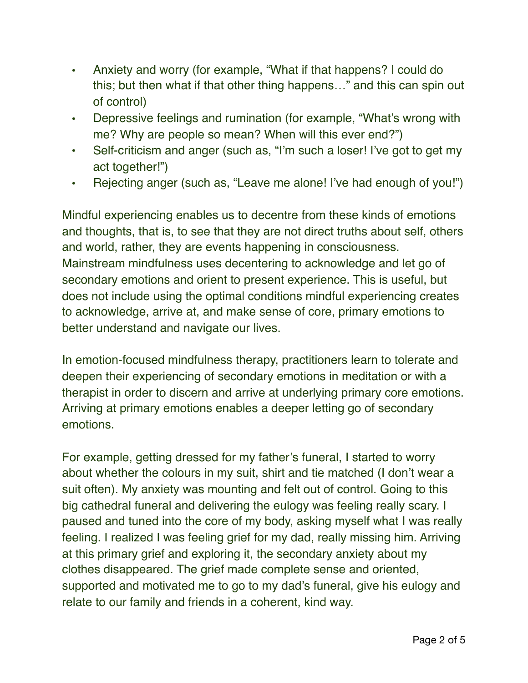- Anxiety and worry (for example, "What if that happens? I could do this; but then what if that other thing happens…" and this can spin out of control)
- Depressive feelings and rumination (for example, "What's wrong with me? Why are people so mean? When will this ever end?")
- Self-criticism and anger (such as, "I'm such a loser! I've got to get my act together!")
- Rejecting anger (such as, "Leave me alone! I've had enough of you!")

Mindful experiencing enables us to decentre from these kinds of emotions and thoughts, that is, to see that they are not direct truths about self, others and world, rather, they are events happening in consciousness. Mainstream mindfulness uses decentering to acknowledge and let go of secondary emotions and orient to present experience. This is useful, but does not include using the optimal conditions mindful experiencing creates to acknowledge, arrive at, and make sense of core, primary emotions to better understand and navigate our lives.

In emotion-focused mindfulness therapy, practitioners learn to tolerate and deepen their experiencing of secondary emotions in meditation or with a therapist in order to discern and arrive at underlying primary core emotions. Arriving at primary emotions enables a deeper letting go of secondary emotions.

For example, getting dressed for my father's funeral, I started to worry about whether the colours in my suit, shirt and tie matched (I don't wear a suit often). My anxiety was mounting and felt out of control. Going to this big cathedral funeral and delivering the eulogy was feeling really scary. I paused and tuned into the core of my body, asking myself what I was really feeling. I realized I was feeling grief for my dad, really missing him. Arriving at this primary grief and exploring it, the secondary anxiety about my clothes disappeared. The grief made complete sense and oriented, supported and motivated me to go to my dad's funeral, give his eulogy and relate to our family and friends in a coherent, kind way.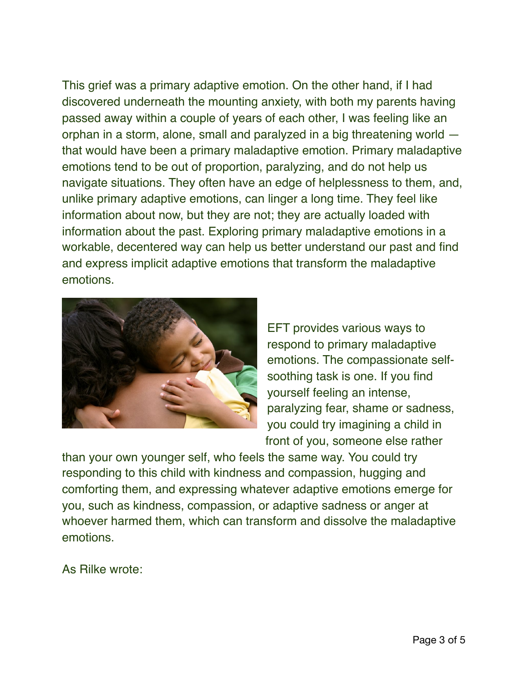This grief was a primary adaptive emotion. On the other hand, if I had discovered underneath the mounting anxiety, with both my parents having passed away within a couple of years of each other, I was feeling like an orphan in a storm, alone, small and paralyzed in a big threatening world that would have been a primary maladaptive emotion. Primary maladaptive emotions tend to be out of proportion, paralyzing, and do not help us navigate situations. They often have an edge of helplessness to them, and, unlike primary adaptive emotions, can linger a long time. They feel like information about now, but they are not; they are actually loaded with information about the past. Exploring primary maladaptive emotions in a workable, decentered way can help us better understand our past and find and express implicit adaptive emotions that transform the maladaptive emotions.



EFT provides various ways to respond to primary maladaptive emotions. The compassionate selfsoothing task is one. If you find yourself feeling an intense, paralyzing fear, shame or sadness, you could try imagining a child in front of you, someone else rather

than your own younger self, who feels the same way. You could try responding to this child with kindness and compassion, hugging and comforting them, and expressing whatever adaptive emotions emerge for you, such as kindness, compassion, or adaptive sadness or anger at whoever harmed them, which can transform and dissolve the maladaptive emotions.

As Rilke wrote: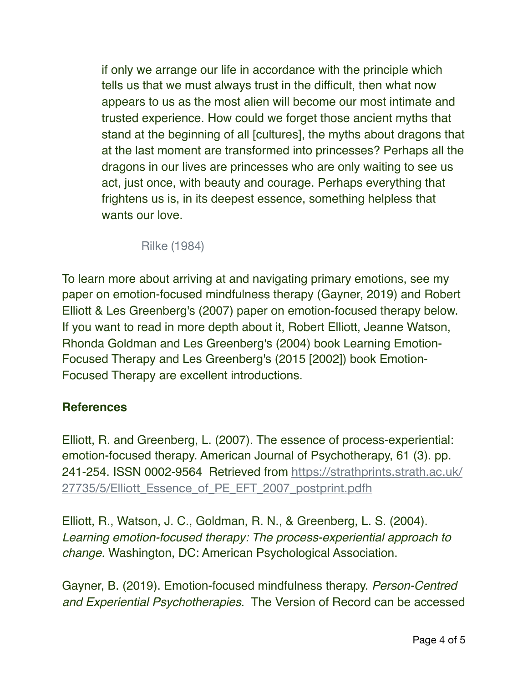if only we arrange our life in accordance with the principle which tells us that we must always trust in the difficult, then what now appears to us as the most alien will become our most intimate and trusted experience. How could we forget those ancient myths that stand at the beginning of all [cultures], the myths about dragons that at the last moment are transformed into princesses? Perhaps all the dragons in our lives are princesses who are only waiting to see us act, just once, with beauty and courage. Perhaps everything that frightens us is, in its deepest essence, something helpless that wants our love.

Rilke (1984)

To learn more about arriving at and navigating primary emotions, see my paper on emotion-focused mindfulness therapy (Gayner, 2019) and Robert Elliott & Les Greenberg's (2007) paper on emotion-focused therapy below. If you want to read in more depth about it, Robert Elliott, Jeanne Watson, Rhonda Goldman and Les Greenberg's (2004) book Learning Emotion-Focused Therapy and Les Greenberg's (2015 [2002]) book Emotion-Focused Therapy are excellent introductions.

## **References**

Elliott, R. and Greenberg, L. (2007). The essence of process-experiential: emotion-focused therapy. American Journal of Psychotherapy, 61 (3). pp. [241-254. ISSN 0002-9564 Retrieved from](https://strathprints.strath.ac.uk/27735/5/Elliott_Essence_of_PE_EFT_2007_postprint.pdfh) [https://strathprints.strath.ac.uk/](https://strathprints.strath.ac.uk/27735/5/Elliott_Essence_of_PE_EFT_2007_postprint.pdfh) 27735/5/Elliott Essence of PE EFT 2007 postprint.pdfh

Elliott, R., Watson, J. C., Goldman, R. N., & Greenberg, L. S. (2004). *Learning emotion-focused therapy: The process-experiential approach to change.* Washington, DC: American Psychological Association.

Gayner, B. (2019). Emotion-focused mindfulness therapy. *Person-Centred and Experiential Psychotherapies*. The Version of Record can be accessed